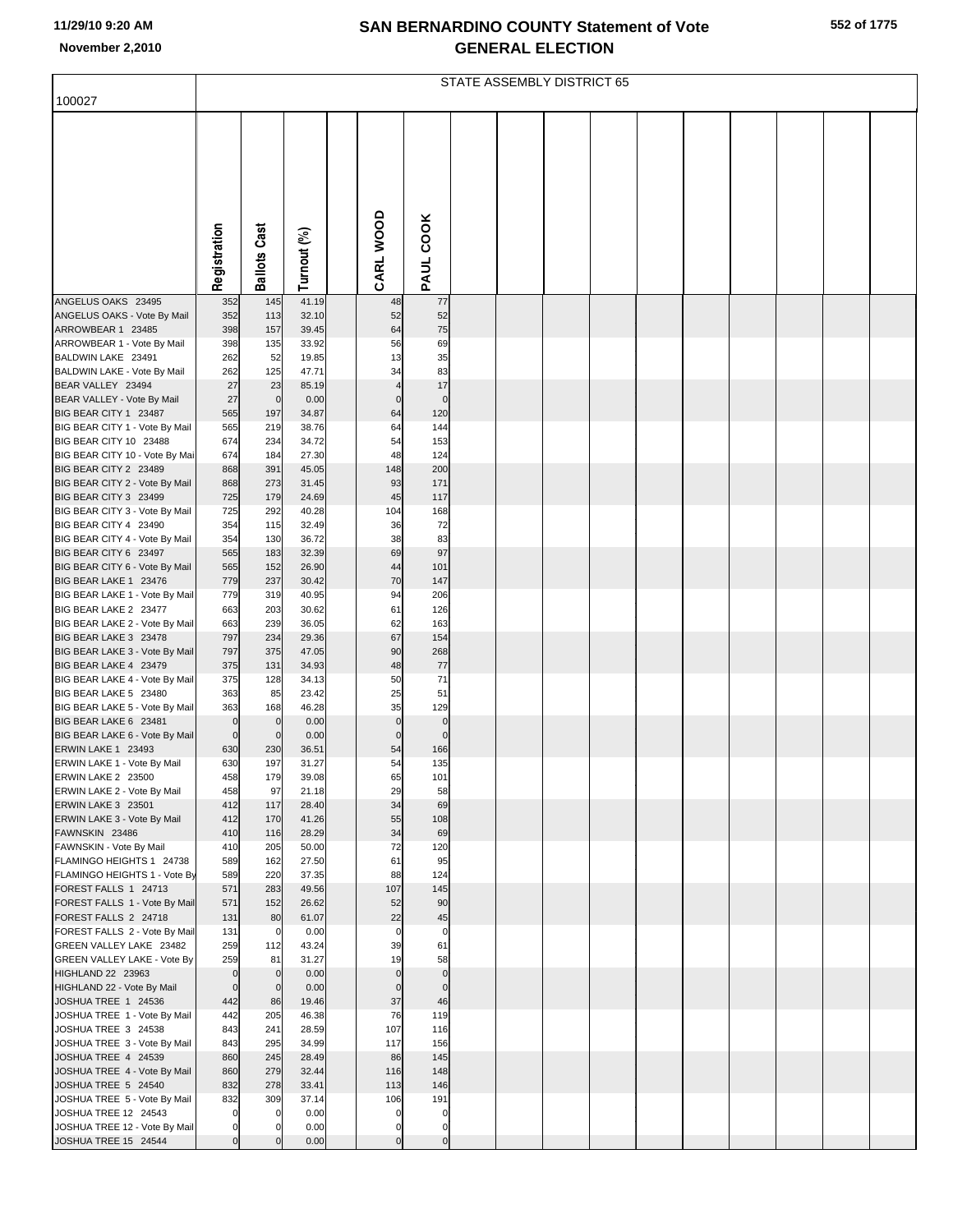|  | 552 of 1775 |
|--|-------------|
|  |             |

|                                                         | STATE ASSEMBLY DISTRICT 65 |                            |                |  |                            |                          |  |  |  |  |  |  |  |  |  |
|---------------------------------------------------------|----------------------------|----------------------------|----------------|--|----------------------------|--------------------------|--|--|--|--|--|--|--|--|--|
| 100027                                                  |                            |                            |                |  |                            |                          |  |  |  |  |  |  |  |  |  |
|                                                         |                            |                            |                |  |                            |                          |  |  |  |  |  |  |  |  |  |
|                                                         |                            |                            |                |  |                            |                          |  |  |  |  |  |  |  |  |  |
|                                                         |                            |                            |                |  |                            |                          |  |  |  |  |  |  |  |  |  |
|                                                         |                            |                            |                |  |                            |                          |  |  |  |  |  |  |  |  |  |
|                                                         |                            |                            |                |  |                            |                          |  |  |  |  |  |  |  |  |  |
|                                                         |                            |                            |                |  |                            |                          |  |  |  |  |  |  |  |  |  |
|                                                         |                            |                            |                |  |                            |                          |  |  |  |  |  |  |  |  |  |
|                                                         | Registration               | <b>Ballots Cast</b>        | Turnout (%)    |  | CARL WOOD                  | PAUL COOK                |  |  |  |  |  |  |  |  |  |
| ANGELUS OAKS 23495                                      | 352                        | 145                        | 41.19          |  | 48                         | 77                       |  |  |  |  |  |  |  |  |  |
| ANGELUS OAKS - Vote By Mail                             | 352                        | 113                        | 32.10          |  | 52                         | 52                       |  |  |  |  |  |  |  |  |  |
| ARROWBEAR 1 23485<br>ARROWBEAR 1 - Vote By Mail         | 398<br>398                 | 157<br>135                 | 39.45<br>33.92 |  | 64<br>56                   | 75<br>69                 |  |  |  |  |  |  |  |  |  |
| BALDWIN LAKE 23491                                      | 262                        | 52                         | 19.85          |  | 13                         | 35                       |  |  |  |  |  |  |  |  |  |
| BALDWIN LAKE - Vote By Mail<br>BEAR VALLEY 23494        | 262<br>27                  | 125<br>23                  | 47.71<br>85.19 |  | 34<br>$\overline{4}$       | 83<br>17                 |  |  |  |  |  |  |  |  |  |
| BEAR VALLEY - Vote By Mail                              | 27                         | $\mathbf 0$                | 0.00           |  | $\mathbf 0$                | $\mathbf 0$              |  |  |  |  |  |  |  |  |  |
| BIG BEAR CITY 1 23487<br>BIG BEAR CITY 1 - Vote By Mail | 565<br>565                 | 197<br>219                 | 34.87<br>38.76 |  | 64<br>64                   | 120<br>144               |  |  |  |  |  |  |  |  |  |
| BIG BEAR CITY 10 23488                                  | 674                        | 234                        | 34.72          |  | 54                         | 153                      |  |  |  |  |  |  |  |  |  |
| BIG BEAR CITY 10 - Vote By Mai<br>BIG BEAR CITY 2 23489 | 674<br>868                 | 184<br>391                 | 27.30<br>45.05 |  | 48<br>148                  | 124<br>200               |  |  |  |  |  |  |  |  |  |
| BIG BEAR CITY 2 - Vote By Mail                          | 868                        | 273                        | 31.45          |  | 93                         | 171                      |  |  |  |  |  |  |  |  |  |
| BIG BEAR CITY 3 23499<br>BIG BEAR CITY 3 - Vote By Mail | 725<br>725                 | 179<br>292                 | 24.69<br>40.28 |  | 45<br>104                  | 117<br>168               |  |  |  |  |  |  |  |  |  |
| BIG BEAR CITY 4 23490                                   | 354                        | 115                        | 32.49          |  | 36                         | 72                       |  |  |  |  |  |  |  |  |  |
| BIG BEAR CITY 4 - Vote By Mail<br>BIG BEAR CITY 6 23497 | 354<br>565                 | 130<br>183                 | 36.72<br>32.39 |  | 38<br>69                   | 83<br>97                 |  |  |  |  |  |  |  |  |  |
| BIG BEAR CITY 6 - Vote By Mail                          | 565                        | 152                        | 26.90          |  | 44                         | 101                      |  |  |  |  |  |  |  |  |  |
| BIG BEAR LAKE 1 23476                                   | 779                        | 237                        | 30.42          |  | 70                         | 147                      |  |  |  |  |  |  |  |  |  |
| BIG BEAR LAKE 1 - Vote By Mail<br>BIG BEAR LAKE 2 23477 | 779<br>663                 | 319<br>203                 | 40.95<br>30.62 |  | 94<br>61                   | 206<br>126               |  |  |  |  |  |  |  |  |  |
| BIG BEAR LAKE 2 - Vote By Mail                          | 663                        | 239                        | 36.05          |  | 62                         | 163                      |  |  |  |  |  |  |  |  |  |
| BIG BEAR LAKE 3 23478<br>BIG BEAR LAKE 3 - Vote By Mail | 797<br>797                 | 234<br>375                 | 29.36<br>47.05 |  | 67<br>90                   | 154<br>268               |  |  |  |  |  |  |  |  |  |
| BIG BEAR LAKE 4 23479                                   | 375                        | 131                        | 34.93          |  | 48                         | 77                       |  |  |  |  |  |  |  |  |  |
| BIG BEAR LAKE 4 - Vote By Mail<br>BIG BEAR LAKE 5 23480 | 375<br>363                 | 128<br>85                  | 34.13<br>23.42 |  | 50<br>25                   | 71<br>51                 |  |  |  |  |  |  |  |  |  |
| BIG BEAR LAKE 5 - Vote By Mail                          | 363                        | 168                        | 46.28          |  | 35                         | 129                      |  |  |  |  |  |  |  |  |  |
| BIG BEAR LAKE 6 23481<br>BIG BEAR LAKE 6 - Vote By Mail | $\mathbf 0$<br>$\mathbf 0$ | $\mathbf 0$<br>$\mathbf 0$ | 0.00<br>0.00   |  | $\pmb{0}$<br>$\mathbf 0$   | $\pmb{0}$<br>$\Omega$    |  |  |  |  |  |  |  |  |  |
| <b>ERWIN LAKE 1 23493</b>                               | 630                        | 230                        | 36.51          |  | 54                         | 166                      |  |  |  |  |  |  |  |  |  |
| ERWIN LAKE 1 - Vote By Mail<br>ERWIN LAKE 2 23500       | 630<br>458                 | 197<br>179                 | 31.27<br>39.08 |  | 54<br>65                   | 135<br>101               |  |  |  |  |  |  |  |  |  |
| ERWIN LAKE 2 - Vote By Mail                             | 458                        | 97                         | 21.18          |  | 29                         | 58                       |  |  |  |  |  |  |  |  |  |
| ERWIN LAKE 3 23501<br>ERWIN LAKE 3 - Vote By Mail       | 412<br>412                 | 117<br>170                 | 28.40<br>41.26 |  | 34<br>55                   | 69<br>108                |  |  |  |  |  |  |  |  |  |
| FAWNSKIN 23486                                          | 410                        | 116                        | 28.29          |  | 34                         | 69                       |  |  |  |  |  |  |  |  |  |
| FAWNSKIN - Vote By Mail<br>FLAMINGO HEIGHTS 1 24738     | 410<br>589                 | 205<br>162                 | 50.00<br>27.50 |  | 72<br>61                   | 120<br>95                |  |  |  |  |  |  |  |  |  |
| FLAMINGO HEIGHTS 1 - Vote By                            | 589                        | 220                        | 37.35          |  | 88                         | 124                      |  |  |  |  |  |  |  |  |  |
| FOREST FALLS 1 24713                                    | 571                        | 283                        | 49.56          |  | 107                        | 145                      |  |  |  |  |  |  |  |  |  |
| FOREST FALLS 1 - Vote By Mail<br>FOREST FALLS 2 24718   | 571<br>131                 | 152<br>80                  | 26.62<br>61.07 |  | 52<br>22                   | 90<br>45                 |  |  |  |  |  |  |  |  |  |
| FOREST FALLS 2 - Vote By Mail                           | 131                        | $\mathbf 0$                | 0.00           |  | $\mathbf 0$                | $\mathbf 0$              |  |  |  |  |  |  |  |  |  |
| GREEN VALLEY LAKE 23482<br>GREEN VALLEY LAKE - Vote By  | 259<br>259                 | 112<br>81                  | 43.24<br>31.27 |  | 39<br>19                   | 61<br>58                 |  |  |  |  |  |  |  |  |  |
| HIGHLAND 22 23963                                       | $\mathbf 0$                | $\overline{0}$             | 0.00           |  | $\mathbf 0$                | $\pmb{0}$                |  |  |  |  |  |  |  |  |  |
| HIGHLAND 22 - Vote By Mail<br>JOSHUA TREE 1 24536       | $\mathbf 0$<br>442         | $\mathbf 0$<br>86          | 0.00<br>19.46  |  | $\mathbf 0$<br>37          | $\mathbf 0$<br>46        |  |  |  |  |  |  |  |  |  |
| JOSHUA TREE 1 - Vote By Mail                            | 442                        | 205                        | 46.38          |  | 76                         | 119                      |  |  |  |  |  |  |  |  |  |
| JOSHUA TREE 3 24538<br>JOSHUA TREE 3 - Vote By Mail     | 843<br>843                 | 241<br>295                 | 28.59<br>34.99 |  | 107<br>117                 | 116<br>156               |  |  |  |  |  |  |  |  |  |
| JOSHUA TREE 4 24539                                     | 860                        | 245                        | 28.49          |  | 86                         | 145                      |  |  |  |  |  |  |  |  |  |
| JOSHUA TREE 4 - Vote By Mail<br>JOSHUA TREE 5 24540     | 860<br>832                 | 279<br>278                 | 32.44<br>33.41 |  | 116<br>113                 | 148<br>146               |  |  |  |  |  |  |  |  |  |
| JOSHUA TREE 5 - Vote By Mail                            | 832                        | 309                        | 37.14          |  | 106                        | 191                      |  |  |  |  |  |  |  |  |  |
| JOSHUA TREE 12 24543<br>JOSHUA TREE 12 - Vote By Mail   | $\mathbf 0$<br>$\mathbf 0$ | $\mathbf 0$                | 0.00<br>0.00   |  | $\mathbf 0$<br>$\mathbf 0$ | $\pmb{0}$<br>$\mathbf 0$ |  |  |  |  |  |  |  |  |  |
| JOSHUA TREE 15 24544                                    | $\overline{0}$             | $\overline{0}$             | 0.00           |  | $\overline{0}$             | 0                        |  |  |  |  |  |  |  |  |  |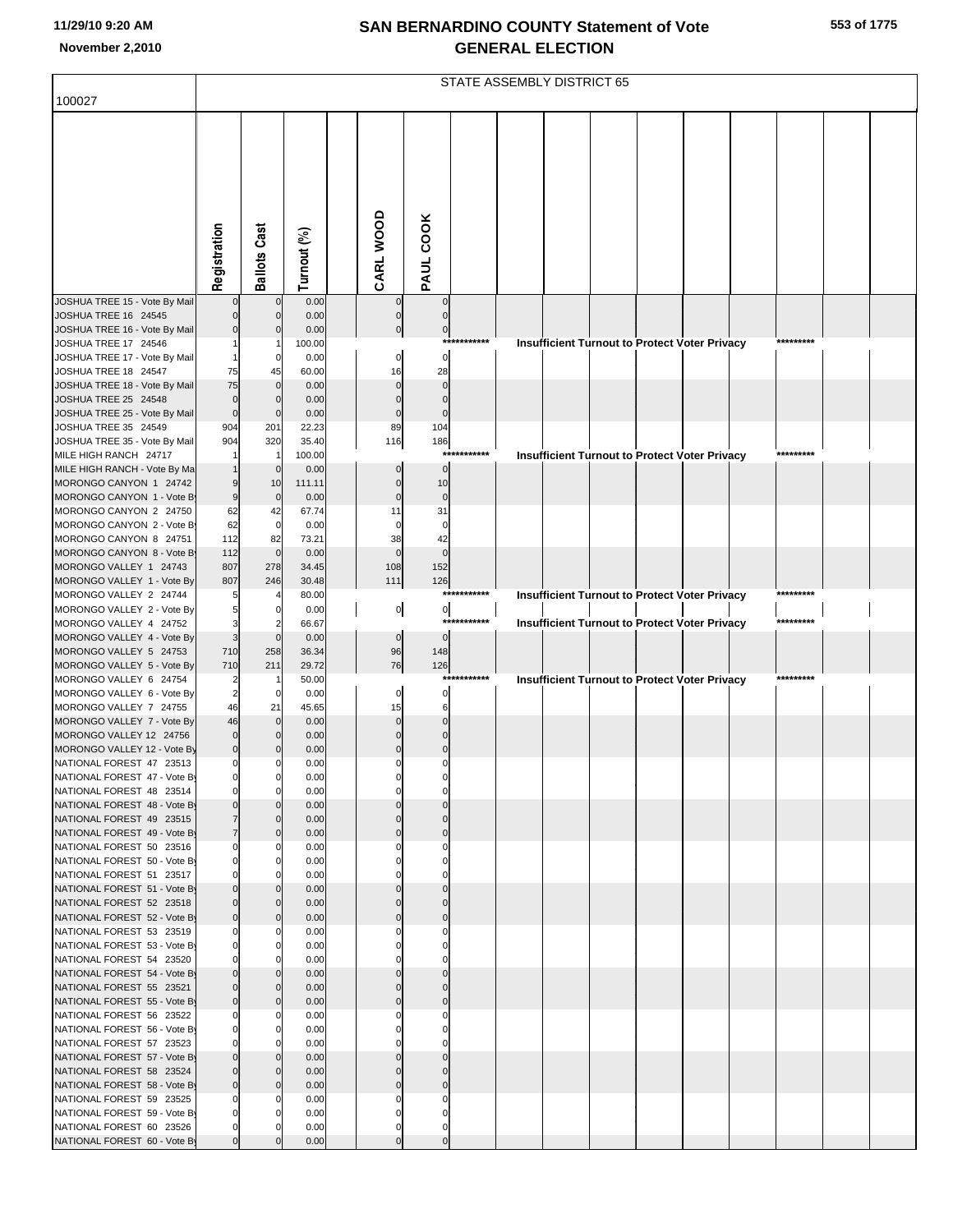|  | 553 of 1775 |
|--|-------------|
|  |             |

|                                                          | STATE ASSEMBLY DISTRICT 65       |                                |                |  |                      |                       |             |  |  |  |  |                                                      |  |           |  |
|----------------------------------------------------------|----------------------------------|--------------------------------|----------------|--|----------------------|-----------------------|-------------|--|--|--|--|------------------------------------------------------|--|-----------|--|
| 100027                                                   |                                  |                                |                |  |                      |                       |             |  |  |  |  |                                                      |  |           |  |
|                                                          |                                  |                                |                |  |                      |                       |             |  |  |  |  |                                                      |  |           |  |
|                                                          |                                  |                                |                |  |                      |                       |             |  |  |  |  |                                                      |  |           |  |
|                                                          |                                  |                                |                |  |                      |                       |             |  |  |  |  |                                                      |  |           |  |
|                                                          |                                  |                                |                |  |                      |                       |             |  |  |  |  |                                                      |  |           |  |
|                                                          |                                  |                                |                |  |                      |                       |             |  |  |  |  |                                                      |  |           |  |
|                                                          |                                  |                                |                |  |                      |                       |             |  |  |  |  |                                                      |  |           |  |
|                                                          | Registration                     | <b>Ballots Cast</b>            | Turnout (%)    |  | CARL WOOD            | PAUL COOK             |             |  |  |  |  |                                                      |  |           |  |
| JOSHUA TREE 15 - Vote By Mail                            |                                  | $\mathbf 0$                    | 0.00           |  |                      | $\overline{0}$        |             |  |  |  |  |                                                      |  |           |  |
| JOSHUA TREE 16 24545                                     | $\overline{0}$                   | $\mathbf 0$                    | 0.00           |  | $\Omega$             | $\mathbf 0$           |             |  |  |  |  |                                                      |  |           |  |
| JOSHUA TREE 16 - Vote By Mail<br>JOSHUA TREE 17 24546    | $\overline{0}$                   | $\mathbf 0$                    | 0.00<br>100.00 |  | $\pmb{0}$            | $\overline{0}$<br>*** | *******     |  |  |  |  | <b>Insufficient Turnout to Protect Voter Privacy</b> |  | ********* |  |
| JOSHUA TREE 17 - Vote By Mail                            |                                  | $\mathbf 0$                    | 0.00           |  | $\pmb{0}$            | $\overline{0}$        |             |  |  |  |  |                                                      |  |           |  |
| JOSHUA TREE 18 24547<br>JOSHUA TREE 18 - Vote By Mail    | 75<br>75                         | 45<br>$\overline{0}$           | 60.00<br>0.00  |  | 16<br>$\Omega$       | 28<br>$\mathbf 0$     |             |  |  |  |  |                                                      |  |           |  |
| JOSHUA TREE 25 24548                                     | $\mathbf 0$                      | $\Omega$                       | 0.00           |  | $\Omega$             | $\Omega$              |             |  |  |  |  |                                                      |  |           |  |
| JOSHUA TREE 25 - Vote By Mail<br>JOSHUA TREE 35 24549    | $\mathbf 0$<br>904               | $\mathbf 0$<br>201             | 0.00<br>22.23  |  | $\mathbf 0$<br>89    | $\mathbf 0$<br>104    |             |  |  |  |  |                                                      |  |           |  |
| JOSHUA TREE 35 - Vote By Mail                            | 904                              | 320                            | 35.40          |  | 116                  | 186                   |             |  |  |  |  |                                                      |  |           |  |
| MILE HIGH RANCH 24717                                    |                                  | -1                             | 100.00         |  |                      | $***$                 | *******     |  |  |  |  | <b>Insufficient Turnout to Protect Voter Privacy</b> |  | ********* |  |
| MILE HIGH RANCH - Vote By Ma<br>MORONGO CANYON 1 24742   | $\overline{9}$                   | $\mathbf 0$<br>10              | 0.00<br>111.11 |  | $\Omega$             | $\mathbf 0$<br>10     |             |  |  |  |  |                                                      |  |           |  |
| MORONGO CANYON 1 - Vote B                                | $\overline{9}$                   | $\overline{0}$                 | 0.00           |  | $\mathbf 0$          | $\mathbf 0$           |             |  |  |  |  |                                                      |  |           |  |
| MORONGO CANYON 2 24750<br>MORONGO CANYON 2 - Vote B      | 62<br>62                         | 42<br>$\mathbf 0$              | 67.74<br>0.00  |  | 11<br>$\mathbf 0$    | 31<br>$\mathbf 0$     |             |  |  |  |  |                                                      |  |           |  |
| MORONGO CANYON 8 24751                                   | 112                              | 82                             | 73.21          |  | 38                   | 42                    |             |  |  |  |  |                                                      |  |           |  |
| MORONGO CANYON 8 - Vote B                                | 112                              | $\mathbf 0$                    | 0.00           |  | $\Omega$             | $\overline{0}$        |             |  |  |  |  |                                                      |  |           |  |
| MORONGO VALLEY 1 24743<br>MORONGO VALLEY 1 - Vote By     | 807<br>807                       | 278<br>246                     | 34.45<br>30.48 |  | 108<br>111           | 152<br>126            |             |  |  |  |  |                                                      |  |           |  |
| MORONGO VALLEY 2 24744                                   | 5                                |                                | 80.00          |  |                      | ***                   | *******     |  |  |  |  | <b>Insufficient Turnout to Protect Voter Privacy</b> |  | ********* |  |
| MORONGO VALLEY 2 - Vote By<br>MORONGO VALLEY 4 24752     | 5<br>3                           | 0                              | 0.00<br>66.67  |  | $\overline{0}$       | $\overline{0}$        | *********** |  |  |  |  | <b>Insufficient Turnout to Protect Voter Privacy</b> |  | ********* |  |
| MORONGO VALLEY 4 - Vote By                               | $\mathbf{3}$                     | $\Omega$                       | 0.00           |  | $\pmb{0}$            | $\mathbf 0$           |             |  |  |  |  |                                                      |  |           |  |
| MORONGO VALLEY 5 24753<br>MORONGO VALLEY 5 - Vote By     | 710<br>710                       | 258<br>211                     | 36.34<br>29.72 |  | 96<br>76             | 148<br>126            |             |  |  |  |  |                                                      |  |           |  |
| MORONGO VALLEY 6 24754                                   | $\overline{c}$                   |                                | 50.00          |  |                      |                       | *******     |  |  |  |  | <b>Insufficient Turnout to Protect Voter Privacy</b> |  | ********* |  |
| MORONGO VALLEY 6 - Vote By<br>MORONGO VALLEY 7 24755     | $\overline{a}$<br>46             | $\mathbf 0$<br>21              | 0.00<br>45.65  |  | $\mathbf 0$<br>15    | 0<br>6                |             |  |  |  |  |                                                      |  |           |  |
| MORONGO VALLEY 7 - Vote By                               | 46                               | $\overline{0}$                 | 0.00           |  | $\Omega$             |                       |             |  |  |  |  |                                                      |  |           |  |
| MORONGO VALLEY 12 24756                                  | $\overline{0}$                   |                                | 0.00           |  |                      |                       |             |  |  |  |  |                                                      |  |           |  |
| MORONGO VALLEY 12 - Vote By<br>NATIONAL FOREST 47 23513  | $\overline{0}$<br>$\overline{0}$ | $\overline{0}$                 | 0.00<br>0.00   |  | $\Omega$<br>$\Omega$ | $\Omega$              |             |  |  |  |  |                                                      |  |           |  |
| NATIONAL FOREST 47 - Vote By                             | 0                                | 0                              | 0.00           |  |                      |                       |             |  |  |  |  |                                                      |  |           |  |
| NATIONAL FOREST 48 23514<br>NATIONAL FOREST 48 - Vote By | $\mathbf 0$<br>$\overline{0}$    | $\overline{0}$                 | 0.00<br>0.00   |  |                      |                       |             |  |  |  |  |                                                      |  |           |  |
| NATIONAL FOREST 49 23515                                 | $\overline{7}$                   | $\mathbf{0}$                   | 0.00           |  | C                    | $\Omega$              |             |  |  |  |  |                                                      |  |           |  |
| NATIONAL FOREST 49 - Vote By<br>NATIONAL FOREST 50 23516 | $\overline{7}$<br>$\mathbf 0$    | $\overline{0}$<br>0            | 0.00<br>0.00   |  | $\Omega$             | $\Omega$              |             |  |  |  |  |                                                      |  |           |  |
| NATIONAL FOREST 50 - Vote By                             | $\overline{0}$                   | 0                              | 0.00           |  | $\Omega$             | 0                     |             |  |  |  |  |                                                      |  |           |  |
| NATIONAL FOREST 51 23517                                 | $\mathbf 0$                      | U                              | 0.00           |  |                      |                       |             |  |  |  |  |                                                      |  |           |  |
| NATIONAL FOREST 51 - Vote By<br>NATIONAL FOREST 52 23518 | $\overline{0}$<br>$\overline{0}$ | $\overline{0}$<br>$\mathbf{0}$ | 0.00<br>0.00   |  | $\Omega$             | $\Omega$              |             |  |  |  |  |                                                      |  |           |  |
| NATIONAL FOREST 52 - Vote By                             | $\overline{0}$                   | $\overline{0}$                 | 0.00           |  | $\Omega$             | $\mathbf 0$           |             |  |  |  |  |                                                      |  |           |  |
| NATIONAL FOREST 53 23519<br>NATIONAL FOREST 53 - Vote By | $\mathbf{0}$<br>$\overline{0}$   | 01                             | 0.00<br>0.00   |  |                      |                       |             |  |  |  |  |                                                      |  |           |  |
| NATIONAL FOREST 54 23520                                 | $\mathbf 0$                      |                                | 0.00           |  |                      |                       |             |  |  |  |  |                                                      |  |           |  |
| NATIONAL FOREST 54 - Vote By<br>NATIONAL FOREST 55 23521 | $\overline{0}$<br>$\overline{0}$ | $\overline{0}$<br>$\mathbf{0}$ | 0.00<br>0.00   |  | $\sqrt{ }$           | $\Omega$              |             |  |  |  |  |                                                      |  |           |  |
| NATIONAL FOREST 55 - Vote By                             | $\overline{0}$                   | $\overline{0}$                 | 0.00           |  | $\Omega$             | $\Omega$              |             |  |  |  |  |                                                      |  |           |  |
| NATIONAL FOREST 56 23522                                 | $\mathbf 0$                      | 0                              | 0.00           |  |                      |                       |             |  |  |  |  |                                                      |  |           |  |
| NATIONAL FOREST 56 - Vote By<br>NATIONAL FOREST 57 23523 | $\overline{0}$<br>$\mathbf 0$    | 0<br>U                         | 0.00<br>0.00   |  |                      |                       |             |  |  |  |  |                                                      |  |           |  |
| NATIONAL FOREST 57 - Vote By                             | $\overline{0}$                   | $\overline{0}$                 | 0.00           |  |                      |                       |             |  |  |  |  |                                                      |  |           |  |
| NATIONAL FOREST 58 23524<br>NATIONAL FOREST 58 - Vote By | $\overline{0}$<br>$\overline{0}$ | $\mathbf{0}$<br>$\overline{0}$ | 0.00<br>0.00   |  | $\Omega$             | $\Omega$              |             |  |  |  |  |                                                      |  |           |  |
| NATIONAL FOREST 59 23525                                 | $\mathbf 0$                      |                                | 0.00           |  |                      |                       |             |  |  |  |  |                                                      |  |           |  |
| NATIONAL FOREST 59 - Vote By<br>NATIONAL FOREST 60 23526 | $\overline{0}$<br>$\overline{0}$ |                                | 0.00<br>0.00   |  | C<br>C               |                       |             |  |  |  |  |                                                      |  |           |  |
| NATIONAL FOREST 60 - Vote By                             | $\overline{0}$                   |                                | 0.00           |  | $\Omega$             | $\mathbf 0$           |             |  |  |  |  |                                                      |  |           |  |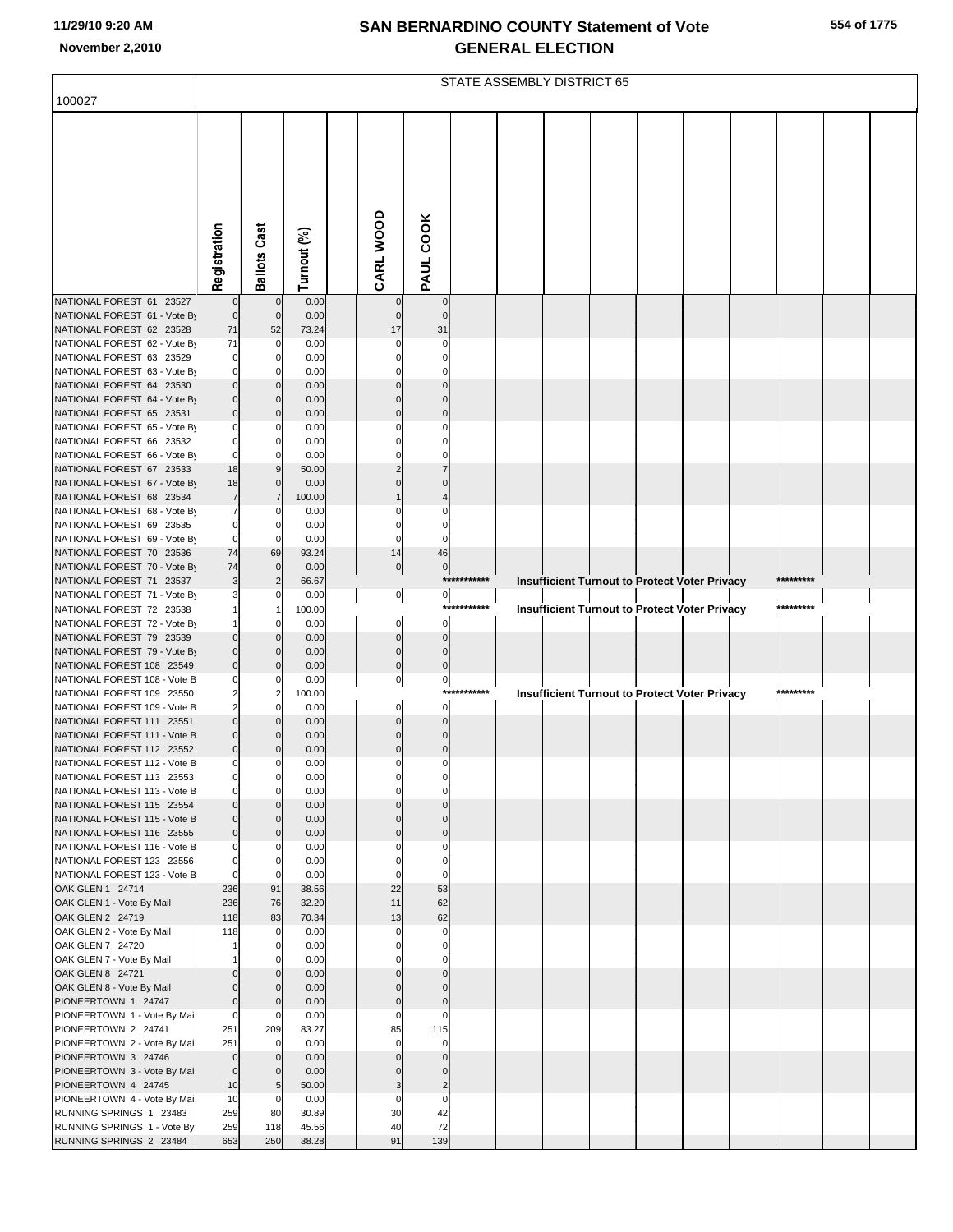|                                                           | STATE ASSEMBLY DISTRICT 65       |                              |                |  |                         |                            |             |  |  |  |  |                                               |  |           |  |
|-----------------------------------------------------------|----------------------------------|------------------------------|----------------|--|-------------------------|----------------------------|-------------|--|--|--|--|-----------------------------------------------|--|-----------|--|
| 100027                                                    |                                  |                              |                |  |                         |                            |             |  |  |  |  |                                               |  |           |  |
|                                                           |                                  |                              |                |  |                         |                            |             |  |  |  |  |                                               |  |           |  |
|                                                           |                                  |                              |                |  |                         |                            |             |  |  |  |  |                                               |  |           |  |
|                                                           |                                  |                              |                |  |                         |                            |             |  |  |  |  |                                               |  |           |  |
|                                                           |                                  |                              |                |  |                         |                            |             |  |  |  |  |                                               |  |           |  |
|                                                           |                                  |                              |                |  |                         |                            |             |  |  |  |  |                                               |  |           |  |
|                                                           |                                  |                              |                |  |                         |                            |             |  |  |  |  |                                               |  |           |  |
|                                                           |                                  |                              |                |  |                         |                            |             |  |  |  |  |                                               |  |           |  |
|                                                           | Registration                     | <b>Ballots Cast</b>          | Turnout (%)    |  | CARL WOOD               | PAUL COOK                  |             |  |  |  |  |                                               |  |           |  |
|                                                           |                                  |                              |                |  |                         |                            |             |  |  |  |  |                                               |  |           |  |
| NATIONAL FOREST 61 23527<br>NATIONAL FOREST 61 - Vote By  | $\mathbf 0$                      | $\mathbf 0$<br>$\mathbf{0}$  | 0.00<br>0.00   |  |                         | $\mathbf 0$<br>$\Omega$    |             |  |  |  |  |                                               |  |           |  |
| NATIONAL FOREST 62 23528                                  | 71                               | 52                           | 73.24          |  | 17                      | 31                         |             |  |  |  |  |                                               |  |           |  |
| NATIONAL FOREST 62 - Vote By<br>NATIONAL FOREST 63 23529  | 71<br>$\mathbf 0$                | 0<br>0                       | 0.00<br>0.00   |  |                         |                            |             |  |  |  |  |                                               |  |           |  |
| NATIONAL FOREST 63 - Vote By                              | $\mathbf 0$                      |                              | 0.00           |  |                         |                            |             |  |  |  |  |                                               |  |           |  |
| NATIONAL FOREST 64 23530                                  | $\mathbf 0$                      | $\mathbf{0}$                 | 0.00           |  |                         | $\Omega$                   |             |  |  |  |  |                                               |  |           |  |
| NATIONAL FOREST 64 - Vote By<br>NATIONAL FOREST 65 23531  | $\mathbf 0$<br>$\mathbf 0$       | $\mathbf{0}$<br>$\mathbf{0}$ | 0.00<br>0.00   |  | $\Omega$                | $\Omega$                   |             |  |  |  |  |                                               |  |           |  |
| NATIONAL FOREST 65 - Vote By                              | $\mathbf 0$                      |                              | 0.00           |  |                         |                            |             |  |  |  |  |                                               |  |           |  |
| NATIONAL FOREST 66 23532<br>NATIONAL FOREST 66 - Vote By  | $\mathbf 0$<br>$\mathbf 0$       | $\mathbf{0}$<br>$\Omega$     | 0.00<br>0.00   |  | 0                       |                            |             |  |  |  |  |                                               |  |           |  |
| NATIONAL FOREST 67 23533                                  | 18                               | 9                            | 50.00          |  | 2                       |                            |             |  |  |  |  |                                               |  |           |  |
| NATIONAL FOREST 67 - Vote By                              | 18                               | $\mathbf 0$                  | 0.00           |  |                         |                            |             |  |  |  |  |                                               |  |           |  |
| NATIONAL FOREST 68 23534<br>NATIONAL FOREST 68 - Vote By  | $\overline{7}$<br>7              | $\overline{7}$               | 100.00<br>0.00 |  |                         |                            |             |  |  |  |  |                                               |  |           |  |
| NATIONAL FOREST 69 23535                                  | $\mathbf 0$                      | $\mathbf 0$                  | 0.00           |  | 0                       |                            |             |  |  |  |  |                                               |  |           |  |
| NATIONAL FOREST 69 - Vote By<br>NATIONAL FOREST 70 23536  | $\mathbf 0$<br>74                | $\Omega$<br>69               | 0.00<br>93.24  |  | $\Omega$<br>14          | 46                         |             |  |  |  |  |                                               |  |           |  |
| NATIONAL FOREST 70 - Vote By                              | 74                               | $\overline{0}$               | 0.00           |  | $\overline{0}$          | $\overline{0}$             |             |  |  |  |  |                                               |  |           |  |
| NATIONAL FOREST 71 23537                                  | 3                                |                              | 66.67          |  |                         |                            | *********** |  |  |  |  | Insufficient Turnout to Protect Voter Privacy |  | ********* |  |
| NATIONAL FOREST 71 - Vote By<br>NATIONAL FOREST 72 23538  |                                  |                              | 0.00<br>100.00 |  | $\overline{0}$          | $\overline{0}$             | *********** |  |  |  |  | Insufficient Turnout to Protect Voter Privacy |  | ********* |  |
| NATIONAL FOREST 72 - Vote By                              |                                  |                              | 0.00           |  | $\mathbf 0$             | $\Omega$                   |             |  |  |  |  |                                               |  |           |  |
| NATIONAL FOREST 79 23539<br>NATIONAL FOREST 79 - Vote By  | $\mathbf 0$<br>$\mathbf 0$       | $\mathbf{0}$<br>$\Omega$     | 0.00           |  | $\mathbf 0$<br>0        | $\mathbf 0$<br>$\Omega$    |             |  |  |  |  |                                               |  |           |  |
| NATIONAL FOREST 108 23549                                 | $\mathbf 0$                      | $\mathbf{0}$                 | 0.00<br>0.00   |  | $\mathbf 0$             | $\Omega$                   |             |  |  |  |  |                                               |  |           |  |
| NATIONAL FOREST 108 - Vote B                              | $\Omega$                         |                              | 0.00           |  | 0                       | $\pmb{0}$                  |             |  |  |  |  |                                               |  |           |  |
| NATIONAL FOREST 109 23550<br>NATIONAL FOREST 109 - Vote B | $\overline{c}$<br>$\overline{2}$ |                              | 100.00<br>0.00 |  |                         | $\Omega$                   | *********** |  |  |  |  | Insufficient Turnout to Protect Voter Privacy |  | ********* |  |
| NATIONAL FOREST 111 23551                                 | $\mathbf 0$                      |                              | 0.00           |  |                         |                            |             |  |  |  |  |                                               |  |           |  |
| NATIONAL FOREST 111 - Vote B                              | $\mathbf 0$<br>$\mathbf 0$       | $\mathbf{0}$                 | 0.00           |  | $\Omega$                | $\Omega$                   |             |  |  |  |  |                                               |  |           |  |
| NATIONAL FOREST 112 23552<br>NATIONAL FOREST 112 - Vote B | $\mathbf 0$                      |                              | 0.00<br>0.00   |  |                         |                            |             |  |  |  |  |                                               |  |           |  |
| NATIONAL FOREST 113 23553                                 | $\mathbf 0$                      | $\overline{0}$               | 0.00           |  |                         |                            |             |  |  |  |  |                                               |  |           |  |
| NATIONAL FOREST 113 - Vote B<br>NATIONAL FOREST 115 23554 | $\mathbf 0$<br>$\overline{0}$    | $\overline{0}$               | 0.00<br>0.00   |  | C<br>$\Omega$           | $\mathbf 0$                |             |  |  |  |  |                                               |  |           |  |
| NATIONAL FOREST 115 - Vote B                              | $\overline{0}$                   | $\mathbf{0}$                 | 0.00           |  | $\Omega$                | $\mathbf 0$                |             |  |  |  |  |                                               |  |           |  |
| NATIONAL FOREST 116 23555<br>NATIONAL FOREST 116 - Vote B | $\overline{0}$<br>$\mathbf 0$    | $\overline{0}$               | 0.00<br>0.00   |  | $\Omega$                | $\mathbf 0$                |             |  |  |  |  |                                               |  |           |  |
| NATIONAL FOREST 123 23556                                 | $\mathbf 0$                      | 0                            | 0.00           |  | $\Omega$                | $\Omega$                   |             |  |  |  |  |                                               |  |           |  |
| NATIONAL FOREST 123 - Vote B                              | $\mathbf 0$                      | $\Omega$                     | 0.00           |  | $\Omega$                | $\Omega$                   |             |  |  |  |  |                                               |  |           |  |
| OAK GLEN 1 24714<br>OAK GLEN 1 - Vote By Mail             | 236<br>236                       | 91<br>76                     | 38.56<br>32.20 |  | 22<br>11                | 53<br>62                   |             |  |  |  |  |                                               |  |           |  |
| OAK GLEN 2 24719                                          | 118                              | 83                           | 70.34          |  | 13                      | 62                         |             |  |  |  |  |                                               |  |           |  |
| OAK GLEN 2 - Vote By Mail<br>OAK GLEN 7 24720             | 118                              | $\mathbf{0}$<br>0            | 0.00<br>0.00   |  | $\Omega$<br>0           | $\Omega$<br>0              |             |  |  |  |  |                                               |  |           |  |
| OAK GLEN 7 - Vote By Mail                                 |                                  |                              | 0.00           |  |                         |                            |             |  |  |  |  |                                               |  |           |  |
| OAK GLEN 8 24721                                          |                                  | $\mathbf{0}$                 | 0.00           |  | $\Omega$                | $\mathbf 0$                |             |  |  |  |  |                                               |  |           |  |
| OAK GLEN 8 - Vote By Mail<br>PIONEERTOWN 1 24747          | $\mathbf 0$<br>$\mathbf 0$       | 0<br>$\mathbf{0}$            | 0.00<br>0.00   |  | $\Omega$<br>$\mathbf 0$ | $\Omega$<br>$\mathbf 0$    |             |  |  |  |  |                                               |  |           |  |
| PIONEERTOWN 1 - Vote By Mai                               | $\mathbf 0$                      | $\Omega$                     | 0.00           |  | $\Omega$                | $\Omega$                   |             |  |  |  |  |                                               |  |           |  |
| PIONEERTOWN 2 24741<br>PIONEERTOWN 2 - Vote By Mai        | 251<br>251                       | 209<br>$\Omega$              | 83.27<br>0.00  |  | 85<br>$\Omega$          | 115<br>$\mathbf 0$         |             |  |  |  |  |                                               |  |           |  |
| PIONEERTOWN 3 24746                                       | $\overline{0}$                   | $\mathbf{0}$                 | 0.00           |  | $\Omega$                | $\mathbf 0$                |             |  |  |  |  |                                               |  |           |  |
| PIONEERTOWN 3 - Vote By Mai                               | $\overline{0}$                   |                              | 0.00           |  |                         |                            |             |  |  |  |  |                                               |  |           |  |
| PIONEERTOWN 4 24745<br>PIONEERTOWN 4 - Vote By Mai        | 10<br>10                         | 5<br>$\mathbf 0$             | 50.00<br>0.00  |  | 3<br>0                  | $\overline{2}$<br>$\Omega$ |             |  |  |  |  |                                               |  |           |  |
| RUNNING SPRINGS 1 23483                                   | 259                              | 80                           | 30.89          |  | 30                      | 42                         |             |  |  |  |  |                                               |  |           |  |
| RUNNING SPRINGS 1 - Vote By<br>RUNNING SPRINGS 2 23484    | 259<br>653                       | 118<br>250                   | 45.56<br>38.28 |  | 40<br>91                | 72<br>139                  |             |  |  |  |  |                                               |  |           |  |
|                                                           |                                  |                              |                |  |                         |                            |             |  |  |  |  |                                               |  |           |  |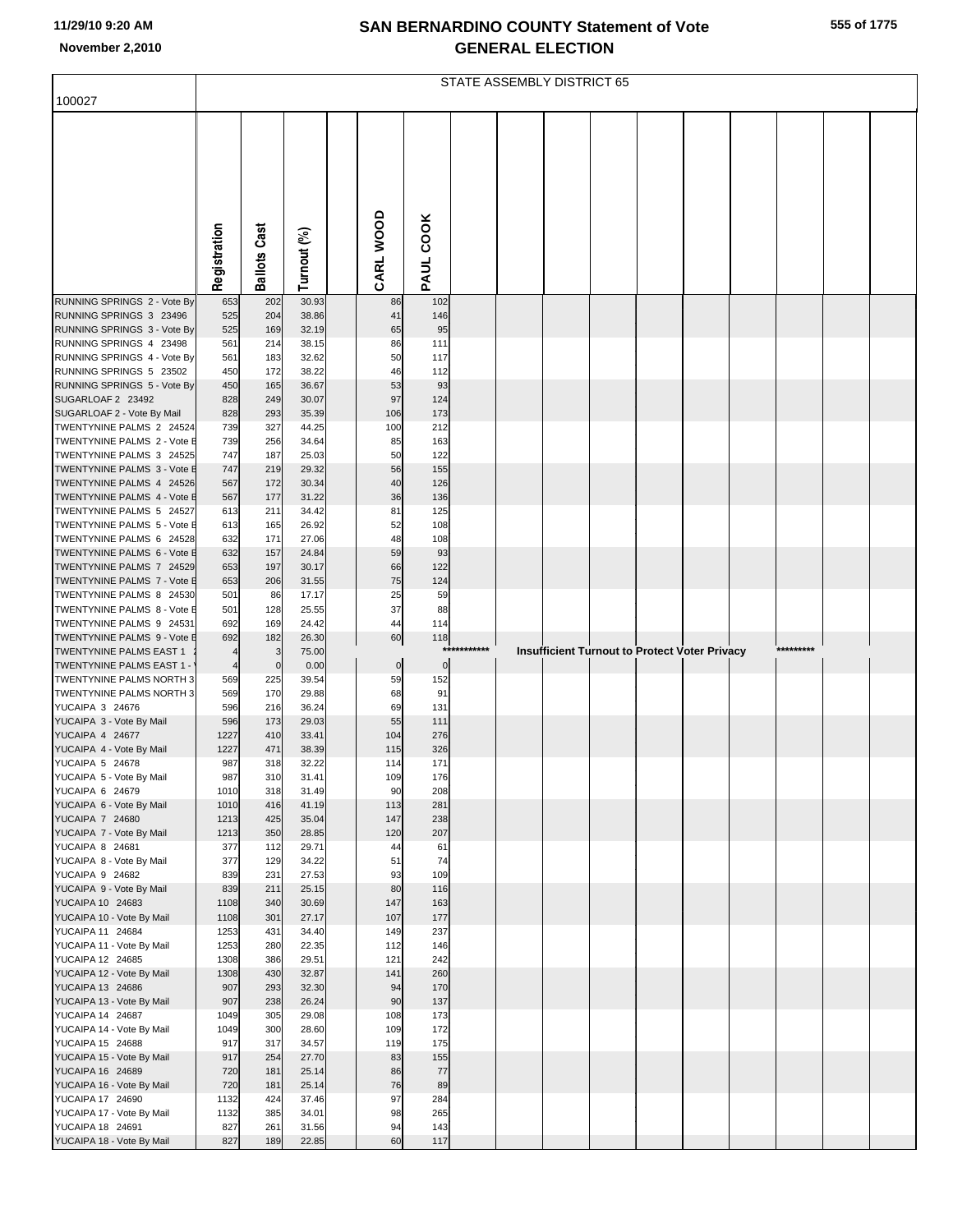|                                                             | STATE ASSEMBLY DISTRICT 65 |                     |                |  |                |             |         |  |  |  |  |                                                      |  |           |  |
|-------------------------------------------------------------|----------------------------|---------------------|----------------|--|----------------|-------------|---------|--|--|--|--|------------------------------------------------------|--|-----------|--|
| 100027                                                      |                            |                     |                |  |                |             |         |  |  |  |  |                                                      |  |           |  |
|                                                             | Registration               | <b>Ballots Cast</b> | Turnout (%)    |  | CARL WOOD      | PAUL COOK   |         |  |  |  |  |                                                      |  |           |  |
| RUNNING SPRINGS 2 - Vote By                                 | 653                        | 202                 | 30.93          |  | 86             | 102         |         |  |  |  |  |                                                      |  |           |  |
| RUNNING SPRINGS 3 23496<br>RUNNING SPRINGS 3 - Vote By      | 525<br>525                 | 204<br>169          | 38.86<br>32.19 |  | 41<br>65       | 146<br>95   |         |  |  |  |  |                                                      |  |           |  |
| RUNNING SPRINGS 4 23498                                     | 561                        | 214                 | 38.15          |  | 86             | 111         |         |  |  |  |  |                                                      |  |           |  |
| RUNNING SPRINGS 4 - Vote By                                 | 561                        | 183                 | 32.62          |  | 50             | 117         |         |  |  |  |  |                                                      |  |           |  |
| RUNNING SPRINGS 5 23502                                     | 450                        | 172                 | 38.22          |  | 46             | 112         |         |  |  |  |  |                                                      |  |           |  |
| RUNNING SPRINGS 5 - Vote By<br>SUGARLOAF 2 23492            | 450<br>828                 | 165<br>249          | 36.67<br>30.07 |  | 53<br>97       | 93<br>124   |         |  |  |  |  |                                                      |  |           |  |
| SUGARLOAF 2 - Vote By Mail                                  | 828                        | 293                 | 35.39          |  | 106            | 173         |         |  |  |  |  |                                                      |  |           |  |
| TWENTYNINE PALMS 2 24524                                    | 739                        | 327                 | 44.25          |  | 100            | 212         |         |  |  |  |  |                                                      |  |           |  |
| TWENTYNINE PALMS 2 - Vote E                                 | 739                        | 256                 | 34.64          |  | 85             | 163         |         |  |  |  |  |                                                      |  |           |  |
| TWENTYNINE PALMS 3 24525                                    | 747<br>747                 | 187                 | 25.03          |  | 50<br>56       | 122         |         |  |  |  |  |                                                      |  |           |  |
| TWENTYNINE PALMS 3 - Vote E<br>TWENTYNINE PALMS 4 24526     | 567                        | 219<br>172          | 29.32<br>30.34 |  | 40             | 155<br>126  |         |  |  |  |  |                                                      |  |           |  |
| TWENTYNINE PALMS 4 - Vote E                                 | 567                        | 177                 | 31.22          |  | 36             | 136         |         |  |  |  |  |                                                      |  |           |  |
| TWENTYNINE PALMS 5 24527                                    | 613                        | 211                 | 34.42          |  | 81             | 125         |         |  |  |  |  |                                                      |  |           |  |
| TWENTYNINE PALMS 5 - Vote E                                 | 613                        | 165                 | 26.92          |  | 52             | 108         |         |  |  |  |  |                                                      |  |           |  |
| TWENTYNINE PALMS 6 24528<br>TWENTYNINE PALMS 6 - Vote E     | 632<br>632                 | 171<br>157          | 27.06<br>24.84 |  | 48<br>59       | 108<br>93   |         |  |  |  |  |                                                      |  |           |  |
| TWENTYNINE PALMS 7 24529                                    | 653                        | 197                 | 30.17          |  | 66             | 122         |         |  |  |  |  |                                                      |  |           |  |
| TWENTYNINE PALMS 7 - Vote E                                 | 653                        | 206                 | 31.55          |  | 75             | 124         |         |  |  |  |  |                                                      |  |           |  |
| TWENTYNINE PALMS 8 24530                                    | 501                        | 86                  | 17.17          |  | 25             | 59          |         |  |  |  |  |                                                      |  |           |  |
| TWENTYNINE PALMS 8 - Vote E<br>TWENTYNINE PALMS 9 24531     | 501<br>692                 | 128<br>169          | 25.55<br>24.42 |  | 37<br>44       | 88<br>114   |         |  |  |  |  |                                                      |  |           |  |
| TWENTYNINE PALMS 9 - Vote E                                 | 692                        | 182                 | 26.30          |  | 60             | 118         |         |  |  |  |  |                                                      |  |           |  |
| TWENTYNINE PALMS EAST 1                                     | 4                          | 3                   | 75.00          |  |                | ***         | ******* |  |  |  |  | <b>Insufficient Turnout to Protect Voter Privacy</b> |  | ********* |  |
| TWENTYNINE PALMS EAST 1 -                                   | $\overline{4}$             | $\mathbf 0$         | 0.00           |  | $\overline{0}$ | $\mathbf 0$ |         |  |  |  |  |                                                      |  |           |  |
| TWENTYNINE PALMS NORTH 3<br><b>TWENTYNINE PALMS NORTH 3</b> | 569<br>569                 | 225<br>170          | 39.54<br>29.88 |  | 59<br>68       | 152<br>91   |         |  |  |  |  |                                                      |  |           |  |
| YUCAIPA 3 24676                                             | 596                        | 216                 | 36.24          |  | 69             | 131         |         |  |  |  |  |                                                      |  |           |  |
| YUCAIPA 3 - Vote By Mail                                    | 596                        | 173                 | 29.03          |  | 55             | 111         |         |  |  |  |  |                                                      |  |           |  |
| YUCAIPA 4 24677                                             | 1227                       | 410                 | 33.41          |  | 104            | 276         |         |  |  |  |  |                                                      |  |           |  |
| YUCAIPA 4 - Vote By Mail<br><b>YUCAIPA 5 24678</b>          | 1227<br>987                | 471<br>318          | 38.39<br>32.22 |  | 115<br>114     | 326<br>171  |         |  |  |  |  |                                                      |  |           |  |
| YUCAIPA 5 - Vote By Mail                                    | 987                        | 310                 | 31.41          |  | 109            | 176         |         |  |  |  |  |                                                      |  |           |  |
| YUCAIPA 6 24679                                             | 1010                       | 318                 | 31.49          |  | 90             | 208         |         |  |  |  |  |                                                      |  |           |  |
| YUCAIPA 6 - Vote By Mail                                    | 1010                       | 416                 | 41.19          |  | 113            | 281         |         |  |  |  |  |                                                      |  |           |  |
| <b>YUCAIPA 7 24680</b><br>YUCAIPA 7 - Vote By Mail          | 1213<br>1213               | 425<br>350          | 35.04<br>28.85 |  | 147<br>120     | 238<br>207  |         |  |  |  |  |                                                      |  |           |  |
| YUCAIPA 8 24681                                             | 377                        | 112                 | 29.71          |  | 44             | 61          |         |  |  |  |  |                                                      |  |           |  |
| YUCAIPA 8 - Vote By Mail                                    | 377                        | 129                 | 34.22          |  | 51             | 74          |         |  |  |  |  |                                                      |  |           |  |
| YUCAIPA 9 24682                                             | 839                        | 231                 | 27.53          |  | 93             | 109         |         |  |  |  |  |                                                      |  |           |  |
| YUCAIPA 9 - Vote By Mail<br>YUCAIPA 10 24683                | 839<br>1108                | 211<br>340          | 25.15<br>30.69 |  | 80<br>147      | 116<br>163  |         |  |  |  |  |                                                      |  |           |  |
| YUCAIPA 10 - Vote By Mail                                   | 1108                       | 301                 | 27.17          |  | 107            | 177         |         |  |  |  |  |                                                      |  |           |  |
| YUCAIPA 11 24684                                            | 1253                       | 431                 | 34.40          |  | 149            | 237         |         |  |  |  |  |                                                      |  |           |  |
| YUCAIPA 11 - Vote By Mail                                   | 1253                       | 280                 | 22.35          |  | 112            | 146         |         |  |  |  |  |                                                      |  |           |  |
| YUCAIPA 12 24685<br>YUCAIPA 12 - Vote By Mail               | 1308<br>1308               | 386<br>430          | 29.51<br>32.87 |  | 121<br>141     | 242<br>260  |         |  |  |  |  |                                                      |  |           |  |
| YUCAIPA 13 24686                                            | 907                        | 293                 | 32.30          |  | 94             | 170         |         |  |  |  |  |                                                      |  |           |  |
| YUCAIPA 13 - Vote By Mail                                   | 907                        | 238                 | 26.24          |  | 90             | 137         |         |  |  |  |  |                                                      |  |           |  |
| YUCAIPA 14 24687                                            | 1049                       | 305                 | 29.08          |  | 108            | 173         |         |  |  |  |  |                                                      |  |           |  |
| YUCAIPA 14 - Vote By Mail                                   | 1049                       | 300                 | 28.60          |  | 109            | 172         |         |  |  |  |  |                                                      |  |           |  |
| YUCAIPA 15 24688<br>YUCAIPA 15 - Vote By Mail               | 917<br>917                 | 317<br>254          | 34.57<br>27.70 |  | 119<br>83      | 175<br>155  |         |  |  |  |  |                                                      |  |           |  |
| YUCAIPA 16 24689                                            | 720                        | 181                 | 25.14          |  | 86             | 77          |         |  |  |  |  |                                                      |  |           |  |
| YUCAIPA 16 - Vote By Mail                                   | 720                        | 181                 | 25.14          |  | 76             | 89          |         |  |  |  |  |                                                      |  |           |  |
| YUCAIPA 17 24690                                            | 1132                       | 424                 | 37.46          |  | 97             | 284         |         |  |  |  |  |                                                      |  |           |  |
| YUCAIPA 17 - Vote By Mail<br>YUCAIPA 18 24691               | 1132<br>827                | 385<br>261          | 34.01<br>31.56 |  | 98<br>94       | 265<br>143  |         |  |  |  |  |                                                      |  |           |  |
| YUCAIPA 18 - Vote By Mail                                   | 827                        | 189                 | 22.85          |  | 60             | 117         |         |  |  |  |  |                                                      |  |           |  |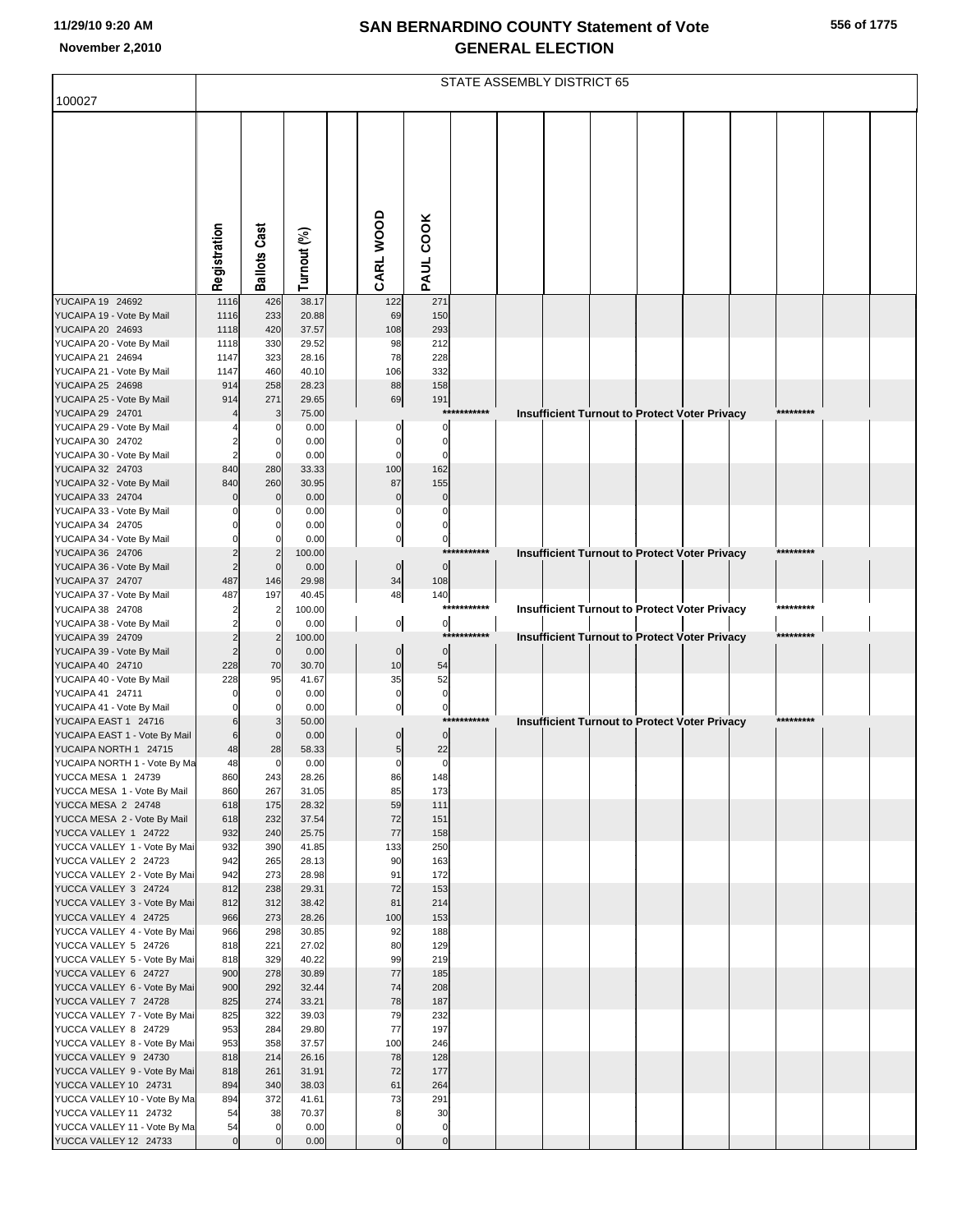|                                                       | STATE ASSEMBLY DISTRICT 65 |                     |                |                |                         |             |                                                      |  |  |  |  |           |  |  |
|-------------------------------------------------------|----------------------------|---------------------|----------------|----------------|-------------------------|-------------|------------------------------------------------------|--|--|--|--|-----------|--|--|
| 100027                                                |                            |                     |                |                |                         |             |                                                      |  |  |  |  |           |  |  |
|                                                       |                            |                     |                |                |                         |             |                                                      |  |  |  |  |           |  |  |
|                                                       | Registration               | <b>Ballots Cast</b> | Turnout (%)    | CARL WOOD      | PAUL COOK               |             |                                                      |  |  |  |  |           |  |  |
| YUCAIPA 19 24692                                      | 1116                       | 426                 | 38.17          | 122            | 271                     |             |                                                      |  |  |  |  |           |  |  |
| YUCAIPA 19 - Vote By Mail<br>YUCAIPA 20 24693         | 1116<br>1118               | 233<br>420          | 20.88<br>37.57 | 69<br>108      | 150<br>293              |             |                                                      |  |  |  |  |           |  |  |
| YUCAIPA 20 - Vote By Mail                             | 1118                       | 330                 | 29.52          | 98             | 212                     |             |                                                      |  |  |  |  |           |  |  |
| YUCAIPA 21 24694                                      | 1147                       | 323                 | 28.16          | 78             | 228                     |             |                                                      |  |  |  |  |           |  |  |
| YUCAIPA 21 - Vote By Mail                             | 1147                       | 460                 | 40.10          | 106            | 332                     |             |                                                      |  |  |  |  |           |  |  |
| YUCAIPA 25 24698                                      | 914                        | 258                 | 28.23          | 88             | 158                     |             |                                                      |  |  |  |  |           |  |  |
| YUCAIPA 25 - Vote By Mail<br>YUCAIPA 29 24701         | 914                        | 271<br>3            | 29.65<br>75.00 | 69             | 191<br>***              | *******     | <b>Insufficient Turnout to Protect Voter Privacy</b> |  |  |  |  | ********* |  |  |
| YUCAIPA 29 - Vote By Mail                             |                            |                     | 0.00           |                | 0                       |             |                                                      |  |  |  |  |           |  |  |
| YUCAIPA 30 24702                                      |                            |                     | 0.00           |                | $\mathbf 0$             |             |                                                      |  |  |  |  |           |  |  |
| YUCAIPA 30 - Vote By Mail                             |                            | $\epsilon$          | 0.00           | $\Omega$       | $\mathbf 0$             |             |                                                      |  |  |  |  |           |  |  |
| YUCAIPA 32 24703<br>YUCAIPA 32 - Vote By Mail         | 840<br>840                 | 280<br>260          | 33.33          | 100<br>87      | 162<br>155              |             |                                                      |  |  |  |  |           |  |  |
| YUCAIPA 33 24704                                      |                            | C                   | 30.95<br>0.00  | $\mathbf 0$    | $\pmb{0}$               |             |                                                      |  |  |  |  |           |  |  |
| YUCAIPA 33 - Vote By Mail                             |                            |                     | 0.00           |                | $\mathbf 0$             |             |                                                      |  |  |  |  |           |  |  |
| YUCAIPA 34 24705                                      |                            |                     | 0.00           | $\Omega$       | $\pmb{0}$               |             |                                                      |  |  |  |  |           |  |  |
| YUCAIPA 34 - Vote By Mail                             |                            |                     | 0.00           | $\pmb{0}$      | $\overline{0}$          |             |                                                      |  |  |  |  |           |  |  |
| YUCAIPA 36 24706<br>YUCAIPA 36 - Vote By Mail         |                            | 2<br>$\mathsf{C}$   | 100.00<br>0.00 | $\pmb{0}$      | ***<br>$\overline{0}$   |             | Insufficient Turnout to Protect Voter Privacy        |  |  |  |  |           |  |  |
| YUCAIPA 37 24707                                      | 487                        | 146                 | 29.98          | 34             | 108                     |             |                                                      |  |  |  |  |           |  |  |
| YUCAIPA 37 - Vote By Mail                             | 487                        | 197                 | 40.45          | 48             | 140                     |             |                                                      |  |  |  |  |           |  |  |
| YUCAIPA 38 24708                                      |                            | $\overline{2}$      | 100.00         |                |                         | *********** | <b>Insufficient Turnout to Protect Voter Privacy</b> |  |  |  |  | ********* |  |  |
| YUCAIPA 38 - Vote By Mail                             |                            | $\mathbf 0$<br>2    | 0.00           | $\overline{0}$ | 이<br>***                |             |                                                      |  |  |  |  | ********* |  |  |
| YUCAIPA 39 24709<br>YUCAIPA 39 - Vote By Mail         |                            | $\mathbf 0$         | 100.00<br>0.00 | $\overline{0}$ | $\overline{0}$          |             | <b>Insufficient Turnout to Protect Voter Privacy</b> |  |  |  |  |           |  |  |
| YUCAIPA 40 24710                                      | 228                        | 70                  | 30.70          | 10             | 54                      |             |                                                      |  |  |  |  |           |  |  |
| YUCAIPA 40 - Vote By Mail                             | 228                        | 95                  | 41.67          | 35             | 52                      |             |                                                      |  |  |  |  |           |  |  |
| YUCAIPA 41 24711                                      |                            | $\mathbf 0$         | 0.00           | $\pmb{0}$      | $\overline{0}$          |             |                                                      |  |  |  |  |           |  |  |
| YUCAIPA 41 - Vote By Mail<br>YUCAIPA EAST 1 24716     |                            |                     | 0.00<br>50.00  | $\pmb{0}$      | $\overline{0}$<br>$***$ |             | <b>Insufficient Turnout to Protect Voter Privacy</b> |  |  |  |  |           |  |  |
| YUCAIPA EAST 1 - Vote By Mail                         | 6                          |                     | 0.00           | $\pmb{0}$      | $\overline{0}$          |             |                                                      |  |  |  |  |           |  |  |
| YUCAIPA NORTH 1 24715                                 | 48                         | 28                  | 58.33          | $\overline{5}$ | 22                      |             |                                                      |  |  |  |  |           |  |  |
| YUCAIPA NORTH 1 - Vote By Ma                          | 48                         | $\mathbf 0$         | 0.00           | $\mathbf{0}$   | $\overline{0}$          |             |                                                      |  |  |  |  |           |  |  |
| YUCCA MESA 1 24739<br>YUCCA MESA 1 - Vote By Mail     | 860<br>860                 | 243<br>267          | 28.26<br>31.05 | 86<br>85       | 148<br>173              |             |                                                      |  |  |  |  |           |  |  |
| YUCCA MESA 2 24748                                    | 618                        | 175                 | 28.32          | 59             | 111                     |             |                                                      |  |  |  |  |           |  |  |
| YUCCA MESA 2 - Vote By Mail                           | 618                        | 232                 | 37.54          | 72             | 151                     |             |                                                      |  |  |  |  |           |  |  |
| YUCCA VALLEY 1 24722                                  | 932                        | 240                 | 25.75          | 77             | 158                     |             |                                                      |  |  |  |  |           |  |  |
| YUCCA VALLEY 1 - Vote By Mai<br>YUCCA VALLEY 2 24723  | 932                        | 390                 | 41.85          | 133            | 250                     |             |                                                      |  |  |  |  |           |  |  |
| YUCCA VALLEY 2 - Vote By Mai                          | 942<br>942                 | 265<br>273          | 28.13<br>28.98 | 90<br>91       | 163<br>172              |             |                                                      |  |  |  |  |           |  |  |
| YUCCA VALLEY 3 24724                                  | 812                        | 238                 | 29.31          | 72             | 153                     |             |                                                      |  |  |  |  |           |  |  |
| YUCCA VALLEY 3 - Vote By Mai                          | 812                        | 312                 | 38.42          | 81             | 214                     |             |                                                      |  |  |  |  |           |  |  |
| YUCCA VALLEY 4 24725                                  | 966                        | 273                 | 28.26          | 100            | 153                     |             |                                                      |  |  |  |  |           |  |  |
| YUCCA VALLEY 4 - Vote By Mai<br>YUCCA VALLEY 5 24726  | 966<br>818                 | 298<br>221          | 30.85<br>27.02 | 92<br>80       | 188<br>129              |             |                                                      |  |  |  |  |           |  |  |
| YUCCA VALLEY 5 - Vote By Mai                          | 818                        | 329                 | 40.22          | 99             | 219                     |             |                                                      |  |  |  |  |           |  |  |
| YUCCA VALLEY 6 24727                                  | 900                        | 278                 | 30.89          | 77             | 185                     |             |                                                      |  |  |  |  |           |  |  |
| YUCCA VALLEY 6 - Vote By Mai                          | 900                        | 292                 | 32.44          | 74             | 208                     |             |                                                      |  |  |  |  |           |  |  |
| YUCCA VALLEY 7 24728                                  | 825                        | 274                 | 33.21          | 78             | 187                     |             |                                                      |  |  |  |  |           |  |  |
| YUCCA VALLEY 7 - Vote By Mai<br>YUCCA VALLEY 8 24729  | 825<br>953                 | 322<br>284          | 39.03<br>29.80 | 79<br>77       | 232<br>197              |             |                                                      |  |  |  |  |           |  |  |
| YUCCA VALLEY 8 - Vote By Mai                          | 953                        | 358                 | 37.57          | 100            | 246                     |             |                                                      |  |  |  |  |           |  |  |
| YUCCA VALLEY 9 24730                                  | 818                        | 214                 | 26.16          | 78             | 128                     |             |                                                      |  |  |  |  |           |  |  |
| YUCCA VALLEY 9 - Vote By Mai                          | 818                        | 261                 | 31.91          | 72             | 177                     |             |                                                      |  |  |  |  |           |  |  |
| YUCCA VALLEY 10 24731<br>YUCCA VALLEY 10 - Vote By Ma | 894                        | 340<br>372          | 38.03<br>41.61 | 61<br>73       | 264<br>291              |             |                                                      |  |  |  |  |           |  |  |
| YUCCA VALLEY 11 24732                                 | 894<br>54                  | 38                  | 70.37          | 8              | 30                      |             |                                                      |  |  |  |  |           |  |  |
| YUCCA VALLEY 11 - Vote By Ma                          | 54                         | $\mathbf 0$         | 0.00           | $\pmb{0}$      | $\overline{0}$          |             |                                                      |  |  |  |  |           |  |  |
| YUCCA VALLEY 12 24733                                 | $\overline{0}$             | $\sqrt{ }$          | 0.00           | $\mathbf 0$    | $\overline{0}$          |             |                                                      |  |  |  |  |           |  |  |